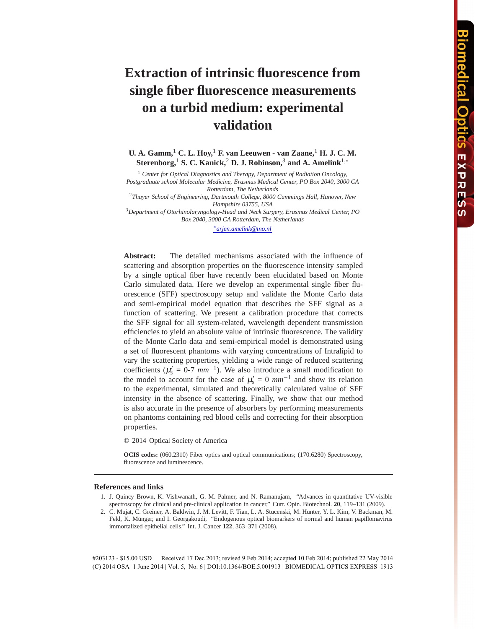# **Extraction of intrinsic fluorescence from single fiber fluorescence measurements on a turbid medium: experimental validation**

**U. A. Gamm,**<sup>1</sup> **C. L. Hoy,**<sup>1</sup> **F. van Leeuwen - van Zaane,**<sup>1</sup> **H. J. C. M. Sterenborg,**<sup>1</sup> **S. C. Kanick,**<sup>2</sup> **D. J. Robinson,**<sup>3</sup> **and A. Amelink**1,<sup>∗</sup>

<sup>1</sup> Center for Optical Diagnostics and Therapy, Department of Radiation Oncology, *Postgraduate school Molecular Medicine, Erasmus Medical Center, PO Box 2040, 3000 CA Rotterdam, The Netherlands*

<sup>2</sup>*Thayer School of Engineering, Dartmouth College, 8000 Cummings Hall, Hanover, New Hampshire 03755, USA*

<sup>3</sup>*Department of Otorhinolaryngology-Head and Neck Surgery, Erasmus Medical Center, PO Box 2040, 3000 CA Rotterdam, The Netherlands*

∗ *arjen.amelink@tno.nl*

**Abstract:** The detailed mechanisms associated with the influence of scattering and absorption properties on the fluorescence intensity sampled by a single optical fiber have recently been elucidated based on Monte Carlo simulated data. Here we develop an experimental single fiber fluorescence (SFF) spectroscopy setup and validate the Monte Carlo data and semi-empirical model equation that describes the SFF signal as a function of scattering. We present a calibration procedure that corrects the SFF signal for all system-related, wavelength dependent transmission efficiencies to yield an absolute value of intrinsic fluorescence. The validity of the Monte Carlo data and semi-empirical model is demonstrated using a set of fluorescent phantoms with varying concentrations of Intralipid to vary the scattering properties, yielding a wide range of reduced scattering coefficients ( $\mu_s' = 0$ -7  $mm^{-1}$ ). We also introduce a small modification to the model to account for the case of  $\mu_s' = 0$   $mm^{-1}$  and show its relation to the experimental, simulated and theoretically calculated value of SFF intensity in the absence of scattering. Finally, we show that our method is also accurate in the presence of absorbers by performing measurements on phantoms containing red blood cells and correcting for their absorption properties.

© 2014 Optical Society of America

**OCIS codes:** (060.2310) Fiber optics and optical communications; (170.6280) Spectroscopy, fluorescence and luminescence.

### **References and links**

- 1. J. Quincy Brown, K. Vishwanath, G. M. Palmer, and N. Ramanujam, "Advances in quantitative UV-visible spectroscopy for clinical and pre-clinical application in cancer," Curr. Opin. Biotechnol. **20**, 119–131 (2009).
- 2. C. Mujat, C. Greiner, A. Baldwin, J. M. Levitt, F. Tian, L. A. Stucenski, M. Hunter, Y. L. Kim, V. Backman, M. Feld, K. Münger, and I. Georgakoudi, "Endogenous optical biomarkers of normal and human papillomavirus immortalized epithelial cells," Int. J. Cancer **122**, 363–371 (2008).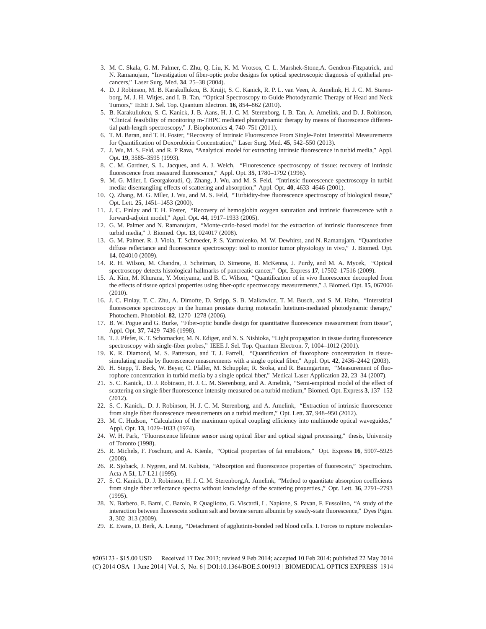- 3. M. C. Skala, G. M. Palmer, C. Zhu, Q. Liu, K. M. Vrotsos, C. L. Marshek-Stone,A. Gendron-Fitzpatrick, and N. Ramanujam, "Investigation of fiber-optic probe designs for optical spectroscopic diagnosis of epithelial precancers," Laser Surg. Med. **34**, 25–38 (2004).
- 4. D. J Robinson, M. B. Karakullukcu, B. Kruijt, S. C. Kanick, R. P. L. van Veen, A. Amelink, H. J. C. M. Sterenborg, M. J. H. Witjes, and I. B. Tan, "Optical Spectroscopy to Guide Photodynamic Therapy of Head and Neck Tumors," IEEE J. Sel. Top. Quantum Electron. **16**, 854–862 (2010).
- 5. B. Karakullukcu, S. C. Kanick, J. B. Aans, H. J. C. M. Sterenborg, I. B. Tan, A. Amelink, and D. J. Robinson, "Clinical feasibility of monitoring m-THPC mediated photodynamic therapy by means of fluorescence differential path-length spectroscopy," J. Biophotonics **4**, 740–751 (2011).
- 6. T. M. Baran, and T. H. Foster, "Recovery of Intrinsic Fluorescence From Single-Point Interstitial Measurements for Quantification of Doxorubicin Concentration," Laser Surg. Med. **45**, 542–550 (2013).
- 7. J. Wu, M. S. Feld, and R. P Rava, "Analytical model for extracting intrinsic fluorescence in turbid media," Appl. Opt. **19**, 3585–3595 (1993).
- 8. C. M. Gardner, S. L. Jacques, and A. J. Welch, "Fluorescence spectroscopy of tissue: recovery of intrinsic fluorescence from measured fluorescence," Appl. Opt. **35**, 1780–1792 (1996).
- 9. M. G. Mller, I. Georgakoudi, Q. Zhang, J. Wu, and M. S. Feld, "Intrinsic fluorescence spectroscopy in turbid media: disentangling effects of scattering and absorption," Appl. Opt. **40**, 4633–4646 (2001).
- 10. Q. Zhang, M. G. Mller, J. Wu, and M. S. Feld, "Turbidity-free fluorescence spectroscopy of biological tissue," Opt. Lett. **25**, 1451–1453 (2000).
- 11. J. C. Finlay and T. H. Foster, "Recovery of hemoglobin oxygen saturation and intrinsic fluorescence with a forward-adjoint model," Appl. Opt. **44**, 1917–1933 (2005).
- 12. G. M. Palmer and N. Ramanujam, "Monte-carlo-based model for the extraction of intrinsic fluorescence from turbid media," J. Biomed. Opt. **13**, 024017 (2008).
- 13. G. M. Palmer. R. J. Viola, T. Schroeder, P. S. Yarmolenko, M. W. Dewhirst, and N. Ramanujam, "Quantitative diffuse reflectance and fluorescence spectroscopy: tool to monitor tumor physiology in vivo," J. Biomed. Opt. **14**, 024010 (2009).
- 14. R. H. Wilson, M. Chandra, J. Scheiman, D. Simeone, B. McKenna, J. Purdy, and M. A. Mycek, "Optical spectroscopy detects histological hallmarks of pancreatic cancer," Opt. Express **17**, 17502–17516 (2009).
- 15. A. Kim, M. Khurana, Y. Moriyama, and B. C. Wilson, "Quantification of in vivo fluorescence decoupled from the effects of tissue optical properties using fiber-optic spectroscopy measurements," J. Biomed. Opt. **15**, 067006 (2010).
- 16. J. C. Finlay, T. C. Zhu, A. Dimofte, D. Stripp, S. B. Malkowicz, T. M. Busch, and S. M. Hahn, "Interstitial fluorescence spectroscopy in the human prostate during motexafin lutetium-mediated photodynamic therapy," Photochem. Photobiol. **82**, 1270–1278 (2006).
- 17. B. W. Pogue and G. Burke, "Fiber-optic bundle design for quantitative fluorescence measurement from tissue", Appl. Opt. **37**, 7429–7436 (1998).
- 18. T. J. Pfefer, K. T. Schomacker, M. N. Ediger, and N. S. Nishioka, "Light propagation in tissue during fluorescence spectroscopy with single-fiber probes," IEEE J. Sel. Top. Quantum Electron. **7**, 1004–1012 (2001).
- 19. K. R. Diamond, M. S. Patterson, and T. J. Farrell, "Quantification of fluorophore concentration in tissuesimulating media by fluorescence measurements with a single optical fiber," Appl. Opt. **42**, 2436–2442 (2003).
- 20. H. Stepp, T. Beck, W. Beyer, C. Pfaller, M. Schuppler, R. Sroka, and R. Baumgartner, "Measurement of fluorophore concentration in turbid media by a single optical fiber," Medical Laser Application **22**, 23–34 (2007).
- 21. S. C. Kanick,. D. J. Robinson, H. J. C. M. Sterenborg, and A. Amelink, "Semi-empirical model of the effect of scattering on single fiber fluorescence intensity measured on a turbid medium," Biomed. Opt. Express **3**, 137–152 (2012).
- 22. S. C. Kanick,. D. J. Robinson, H. J. C. M. Sterenborg, and A. Amelink, "Extraction of intrinsic fluorescence from single fiber fluorescence measurements on a turbid medium," Opt. Lett. **37**, 948–950 (2012).
- 23. M. C. Hudson, "Calculation of the maximum optical coupling efficiency into multimode optical waveguides," Appl. Opt. **13**, 1029–1033 (1974).
- 24. W. H. Park, "Fluorescence lifetime sensor using optical fiber and optical signal processing," thesis, University of Toronto (1998).
- 25. R. Michels, F. Foschum, and A. Kienle, "Optical properties of fat emulsions," Opt. Express **16**, 5907–5925 (2008).
- 26. R. Sjoback, J. Nygren, and M. Kubista, "Absorption and fluorescence properties of fluorescein," Spectrochim. Acta A **51**, L7-L21 (1995).
- 27. S. C. Kanick, D. J. Robinson, H. J. C. M. Sterenborg,A. Amelink, "Method to quantitate absorption coefficients from single fiber reflectance spectra without knowledge of the scattering properties.," Opt. Lett. **36**, 2791–2793 (1995).
- 28. N. Barbero, E. Barni, C. Barolo, P. Quagliotto, G. Viscardi, L. Napione, S. Pavan, F. Fussolino, "A study of the interaction between fluorescein sodium salt and bovine serum albumin by steady-state fluorescence," Dyes Pigm. **3**, 302–313 (2009).
- 29. E. Evans, D. Berk, A. Leung, "Detachment of agglutinin-bonded red blood cells. I. Forces to rupture molecular-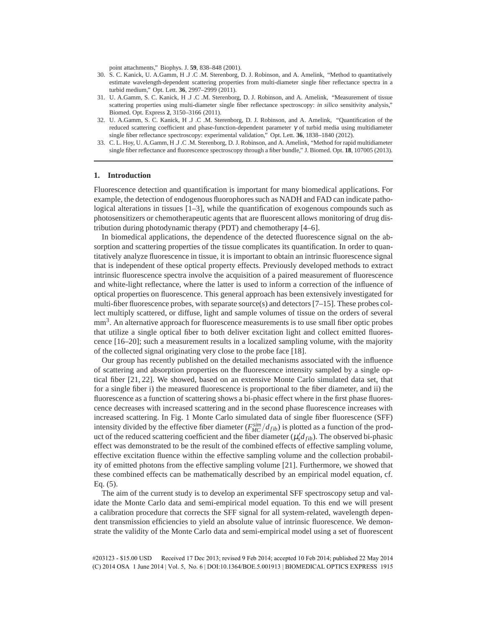point attachments," Biophys. J. **59**, 838–848 (2001).

- 30. S. C. Kanick, U. A.Gamm, H .J .C .M. Sterenborg, D. J. Robinson, and A. Amelink, "Method to quantitatively estimate wavelength-dependent scattering properties from multi-diameter single fiber reflectance spectra in a turbid medium," Opt. Lett. **36**, 2997–2999 (2011).
- 31. U. A.Gamm, S. C. Kanick, H .J .C .M. Sterenborg, D. J. Robinson, and A. Amelink, "Measurement of tissue scattering properties using multi-diameter single fiber reflectance spectroscopy: *in silico* sensitivity analysis," Biomed. Opt. Express **2**, 3150–3166 (2011).
- 32. U. A.Gamm, S. C. Kanick, H .J .C .M. Sterenborg, D. J. Robinson, and A. Amelink, "Quantification of the reduced scattering coefficient and phase-function-dependent parameter  $\gamma$  of turbid media using multidiameter single fiber reflectance spectroscopy: experimental validation," Opt. Lett. **36**, 1838–1840 (2012).
- 33. C. L. Hoy, U. A.Gamm, H .J .C .M. Sterenborg, D. J. Robinson, and A. Amelink, "Method for rapid multidiameter single fiber reflectance and fluorescence spectroscopy through a fiber bundle," J. Biomed. Opt. **18**, 107005 (2013).

#### **1. Introduction**

Fluorescence detection and quantification is important for many biomedical applications. For example, the detection of endogenous fluorophores such as NADH and FAD can indicate pathological alterations in tissues [1–3], while the quantification of exogenous compounds such as photosensitizers or chemotherapeutic agents that are fluorescent allows monitoring of drug distribution during photodynamic therapy (PDT) and chemotherapy [4–6].

In biomedical applications, the dependence of the detected fluorescence signal on the absorption and scattering properties of the tissue complicates its quantification. In order to quantitatively analyze fluorescence in tissue, it is important to obtain an intrinsic fluorescence signal that is independent of these optical property effects. Previously developed methods to extract intrinsic fluorescence spectra involve the acquisition of a paired measurement of fluorescence and white-light reflectance, where the latter is used to inform a correction of the influence of optical properties on fluorescence. This general approach has been extensively investigated for multi-fiber fluorescence probes, with separate source(s) and detectors [7–15]. These probes collect multiply scattered, or diffuse, light and sample volumes of tissue on the orders of several mm<sup>3</sup>. An alternative approach for fluorescence measurements is to use small fiber optic probes that utilize a single optical fiber to both deliver excitation light and collect emitted fluorescence [16–20]; such a measurement results in a localized sampling volume, with the majority of the collected signal originating very close to the probe face [18].

Our group has recently published on the detailed mechanisms associated with the influence of scattering and absorption properties on the fluorescence intensity sampled by a single optical fiber [21, 22]. We showed, based on an extensive Monte Carlo simulated data set, that for a single fiber i) the measured fluorescence is proportional to the fiber diameter, and ii) the fluorescence as a function of scattering shows a bi-phasic effect where in the first phase fluorescence decreases with increased scattering and in the second phase fluorescence increases with increased scattering. In Fig. 1 Monte Carlo simulated data of single fiber fluorescence (SFF) intensity divided by the effective fiber diameter  $(F_{MC}^{sim}/d_{fib})$  is plotted as a function of the product of the reduced scattering coefficient and the fiber diameter  $(\mu_s' d_{fib})$ . The observed bi-phasic effect was demonstrated to be the result of the combined effects of effective sampling volume, effective excitation fluence within the effective sampling volume and the collection probability of emitted photons from the effective sampling volume [21]. Furthermore, we showed that these combined effects can be mathematically described by an empirical model equation, cf. Eq. (5).

The aim of the current study is to develop an experimental SFF spectroscopy setup and validate the Monte Carlo data and semi-empirical model equation. To this end we will present a calibration procedure that corrects the SFF signal for all system-related, wavelength dependent transmission efficiencies to yield an absolute value of intrinsic fluorescence. We demonstrate the validity of the Monte Carlo data and semi-empirical model using a set of fluorescent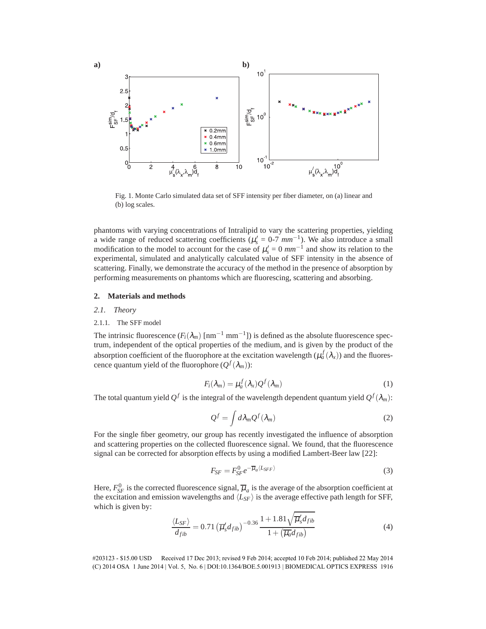

Fig. 1. Monte Carlo simulated data set of SFF intensity per fiber diameter, on (a) linear and (b) log scales.

phantoms with varying concentrations of Intralipid to vary the scattering properties, yielding a wide range of reduced scattering coefficients ( $\mu_s' = 0$ -7  $mm^{-1}$ ). We also introduce a small modification to the model to account for the case of  $\mu'_{s} = 0$   $mm^{-1}$  and show its relation to the experimental, simulated and analytically calculated value of SFF intensity in the absence of scattering. Finally, we demonstrate the accuracy of the method in the presence of absorption by performing measurements on phantoms which are fluorescing, scattering and absorbing.

# **2. Materials and methods**

#### *2.1. Theory*

# 2.1.1. The SFF model

The intrinsic fluorescence  $(F_i(\lambda_m) \text{ [nm}^{-1} \text{ mm}^{-1}])$  is defined as the absolute fluorescence spectrum, independent of the optical properties of the medium, and is given by the product of the absorption coefficient of the fluorophore at the excitation wavelength  $(\mu_a^f(\lambda_x))$  and the fluorescence quantum yield of the fluorophore  $(Q^f(\lambda_m))$ :

$$
F_i(\lambda_m) = \mu_a^f(\lambda_x) Q^f(\lambda_m)
$$
 (1)

The total quantum yield  $Q^f$  is the integral of the wavelength dependent quantum yield  $Q^f(\lambda_m)$ :

$$
Q^f = \int d\lambda_m Q^f(\lambda_m) \tag{2}
$$

For the single fiber geometry, our group has recently investigated the influence of absorption and scattering properties on the collected fluorescence signal. We found, that the fluorescence signal can be corrected for absorption effects by using a modified Lambert-Beer law [22]:

$$
F_{SF} = F_{SF}^0 e^{-\overline{\mu}_a \langle L_{SFF} \rangle} \tag{3}
$$

Here,  $F_{SF}^0$  is the corrected fluorescence signal,  $\overline{\mu}_a$  is the average of the absorption coefficient at the excitation and emission wavelengths and  $\langle L_{SF} \rangle$  is the average effective path length for SFF, which is given by:

$$
\frac{\langle L_{SF} \rangle}{d_{fib}} = 0.71 \left( \overline{\mu}'_s d_{fib} \right)^{-0.36} \frac{1 + 1.81 \sqrt{\overline{\mu}'_s d_{fib}}}{1 + \left( \overline{\mu}_a d_{fib} \right)} \tag{4}
$$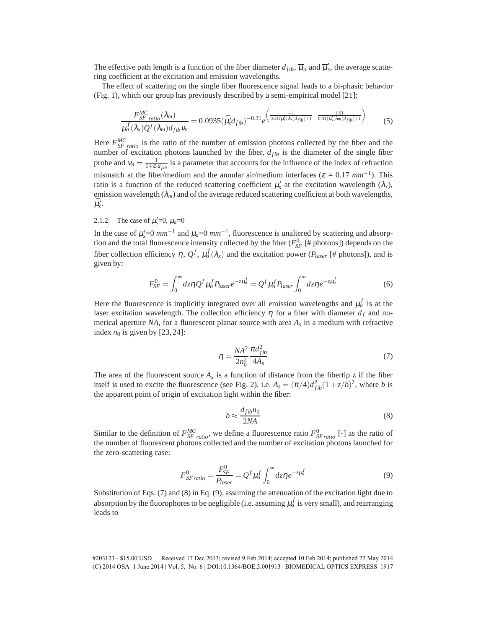The effective path length is a function of the fiber diameter  $d_{fib}$ ,  $\overline{\mu}_a$  and  $\overline{\mu}'_s$ , the average scattering coefficient at the excitation and emission wavelengths.

The effect of scattering on the single fiber fluorescence signal leads to a bi-phasic behavior (Fig. 1), which our group has previously described by a semi-empirical model [21]:

$$
\frac{F_{SF\ ratio}^{MC}(\lambda_m)}{\mu_a^f(\lambda_x)Q^f(\lambda_m)d_{fib}v_n} = 0.0935(\bar{\mu}_s'd_{fib})^{-0.31}e^{\left(\frac{-1}{0.31(\mu_s'(\lambda_x)d_{fib})+1} - \frac{1.61}{0.31(\mu_s'(\lambda_m)d_{fib})+1}\right)}
$$
(5)

Here  $F_{SF \text{ ratio}}^{MC}$  is the ratio of the number of emission photons collected by the fiber and the number of excitation photons launched by the fiber,  $d_{fib}$  is the diameter of the single fiber probe and  $v_n = \frac{1}{1 + \varepsilon \cdot d_{fib}}$  is a parameter that accounts for the influence of the index of refraction mismatch at the fiber/medium and the annular air/medium interfaces ( $\varepsilon = 0.17$   $mm^{-1}$ ). This ratio is a function of the reduced scattering coefficient  $\mu'_{s}$  at the excitation wavelength  $(\lambda_{x})$ , emission wavelength  $(\lambda_m)$  and of the average reduced scattering coefficient at both wavelengths,  $\bar{\mu}_s'.$ 

# 2.1.2. The case of  $\mu_s' = 0$ ,  $\mu_a = 0$

In the case of  $\mu_s' = 0$   $mm^{-1}$  and  $\mu_a = 0$   $mm^{-1}$ , fluorescence is unaltered by scattering and absorption and the total fluorescence intensity collected by the fiber  $(F_{SF}^0 \mid \# \text{ photons}])$  depends on the fiber collection efficiency  $\eta$ ,  $Q^f$ ,  $\mu_a^f(\lambda_x)$  and the excitation power ( $P_{laser}$  [# photons]), and is given by:

$$
F_{SF}^0 = \int_0^\infty dz \eta Q^f \mu_a^f P_{laser} e^{-z\mu_a^f} = Q^f \mu_a^f P_{laser} \int_0^\infty dz \eta e^{-z\mu_a^f}
$$
(6)

Here the fluorescence is implicitly integrated over all emission wavelengths and  $\mu_a^f$  is at the laser excitation wavelength. The collection efficiency  $\eta$  for a fiber with diameter  $d_f$  and numerical aperture *NA*, for a fluorescent planar source with area *A<sup>s</sup>* in a medium with refractive index  $n_0$  is given by [23, 24]:

$$
\eta = \frac{NA^2}{2n_0^2} \frac{\pi d_{fib}^2}{4A_s} \tag{7}
$$

The area of the fluorescent source  $A_s$  is a function of distance from the fibertip z if the fiber itself is used to excite the fluorescence (see Fig. 2), i.e.  $A_s = (\pi/4)d_{fib}^2(1 + z/b)^2$ , where *b* is the apparent point of origin of excitation light within the fiber:

$$
b \approx \frac{d_{fib}n_0}{2NA} \tag{8}
$$

Similar to the definition of  $F_{SF \text{ ratio}}^{MC}$ , we define a fluorescence ratio  $F_{SF \text{ ratio}}^0$  [-] as the ratio of the number of fluorescent photons collected and the number of excitation photons launched for the zero-scattering case:

$$
F_{SF\,ratio}^{0} = \frac{F_{SF}^{0}}{P_{laser}} = Q^{f} \mu_{a}^{f} \int_{0}^{\infty} dz \eta e^{-z\mu_{a}^{f}}
$$
(9)

Substitution of Eqs. (7) and (8) in Eq. (9), assuming the attenuation of the excitation light due to absorption by the fluorophores to be negligible (i.e. assuming  $\mu^f_a$  is very small), and rearranging leads to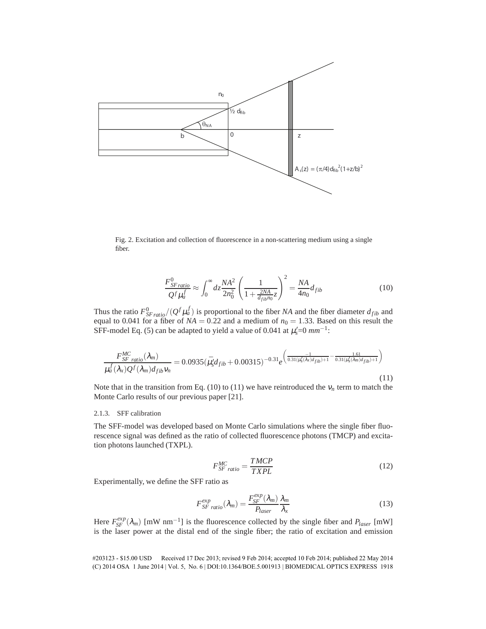

Fig. 2. Excitation and collection of fluorescence in a non-scattering medium using a single fiber.

$$
\frac{F_{SF\,ratio}^{0}}{Q^f \mu_a^f} \approx \int_0^\infty dz \frac{NA^2}{2n_0^2} \left(\frac{1}{1 + \frac{2NA}{d_{fib}n_0}z}\right)^2 = \frac{NA}{4n_0} d_{fib} \tag{10}
$$

Thus the ratio  $F_{SF\,ratio}^0/(Q^f\mu_a^f)$  is proportional to the fiber *NA* and the fiber diameter  $d_{fib}$  and equal to 0.041 for a fiber of  $NA = 0.22$  and a medium of  $n_0 = 1.33$ . Based on this result the SFF-model Eq. (5) can be adapted to yield a value of 0.041 at  $\mu_s' = 0$   $mm^{-1}$ :

$$
\frac{F_{SF\ ratio}^{MC}(\lambda_m)}{\mu_a^f(\lambda_x)Q^f(\lambda_m)d_{fib}v_n} = 0.0935(\bar{\mu}_s'd_{fib}+0.00315)^{-0.31}e^{\left(\frac{-1}{0.31(\mu_s'(\lambda_x)d_{fib})+1}-\frac{1.61}{0.31(\mu_s'(\lambda_m)d_{fib})+1}\right)}
$$
(11)

Note that in the transition from Eq.  $(10)$  to  $(11)$  we have reintroduced the  $v_n$  term to match the Monte Carlo results of our previous paper [21].

# 2.1.3. SFF calibration

The SFF-model was developed based on Monte Carlo simulations where the single fiber fluorescence signal was defined as the ratio of collected fluorescence photons (TMCP) and excitation photons launched (TXPL).

$$
F_{SF\ ratio}^{MC} = \frac{TMCP}{TXPL} \tag{12}
$$

Experimentally, we define the SFF ratio as

$$
F_{SF\ ratio}^{exp}(\lambda_m) = \frac{F_{SF}^{exp}(\lambda_m)}{P_{laser}} \frac{\lambda_m}{\lambda_x}
$$
 (13)

Here  $F_{SF}^{exp}(\lambda_m)$  [mW nm<sup>-1</sup>] is the fluorescence collected by the single fiber and  $P_{laser}$  [mW] is the laser power at the distal end of the single fiber; the ratio of excitation and emission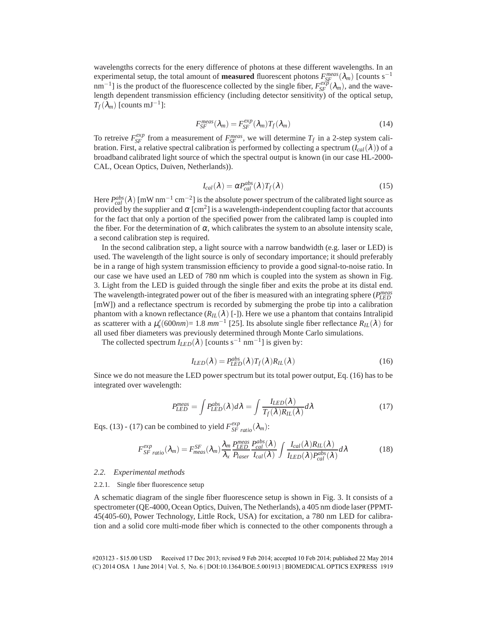wavelengths corrects for the enery difference of photons at these different wavelengths. In an experimental setup, the total amount of **measured** fluorescent photons  $F_{SF}^{meas}(\lambda_m)$  [counts s<sup>-1</sup>  $nm^{-1}$ ] is the product of the fluorescence collected by the single fiber,  $F_{SF}^{exp}(\lambda_m)$ , and the wavelength dependent transmission efficiency (including detector sensitivity) of the optical setup,  $T_f(\lambda_m)$  [counts mJ<sup>-1</sup>]:

$$
F_{SF}^{meas}(\lambda_m) = F_{SF}^{exp}(\lambda_m) T_f(\lambda_m)
$$
\n(14)

To retreive  $F_{SF}^{exp}$  from a measurement of  $F_{SF}^{meas}$ , we will determine  $T_f$  in a 2-step system calibration. First, a relative spectral calibration is performed by collecting a spectrum  $(I_{cal}(\lambda))$  of a broadband calibrated light source of which the spectral output is known (in our case HL-2000- CAL, Ocean Optics, Duiven, Netherlands)).

$$
I_{cal}(\lambda) = \alpha P_{cal}^{abs}(\lambda) T_f(\lambda)
$$
\n(15)

Here  $P_{cal}^{abs}(\lambda)$  [mW nm<sup>-1</sup> cm<sup>-2</sup>] is the absolute power spectrum of the calibrated light source as provided by the supplier and  $\alpha$  [cm<sup>2</sup>] is a wavelength-independent coupling factor that accounts for the fact that only a portion of the specified power from the calibrated lamp is coupled into the fiber. For the determination of  $\alpha$ , which calibrates the system to an absolute intensity scale, a second calibration step is required.

In the second calibration step, a light source with a narrow bandwidth (e.g. laser or LED) is used. The wavelength of the light source is only of secondary importance; it should preferably be in a range of high system transmission efficiency to provide a good signal-to-noise ratio. In our case we have used an LED of 780 nm which is coupled into the system as shown in Fig. 3. Light from the LED is guided through the single fiber and exits the probe at its distal end. The wavelength-integrated power out of the fiber is measured with an integrating sphere (*P meas LED* [mW]) and a reflectance spectrum is recorded by submerging the probe tip into a calibration phantom with a known reflectance  $(R_L(\lambda)$  [-]). Here we use a phantom that contains Intralipid as scatterer with a  $\mu_s'(600nm) = 1.8 \text{ mm}^{-1}$  [25]. Its absolute single fiber reflectance  $R_{IL}(\lambda)$  for all used fiber diameters was previously determined through Monte Carlo simulations.

The collected spectrum  $I_{LED}(\lambda)$  [counts s<sup>-1</sup> nm<sup>-1</sup>] is given by:

$$
I_{LED}(\lambda) = P_{LED}^{abs}(\lambda) T_f(\lambda) R_{IL}(\lambda)
$$
\n(16)

Since we do not measure the LED power spectrum but its total power output, Eq. (16) has to be integrated over wavelength:

$$
P_{LED}^{meas} = \int P_{LED}^{abs}(\lambda) d\lambda = \int \frac{I_{LED}(\lambda)}{T_f(\lambda) R_{IL}(\lambda)} d\lambda \tag{17}
$$

Eqs. (13) - (17) can be combined to yield  $F_{SF \; ratio}^{exp}(\lambda_m)$ :

$$
F_{SF\ ratio}^{exp}(\lambda_m) = F_{meas}^{SF}(\lambda_m) \frac{\lambda_m}{\lambda_x} \frac{P_{LED}^{meas}}{P_{laser}} \frac{P_{cal}^{abs}(\lambda)}{I_{cal}(\lambda)} \int \frac{I_{cal}(\lambda)R_{IL}(\lambda)}{I_{LED}(\lambda)P_{cal}^{abs}(\lambda)} d\lambda \tag{18}
$$

# *2.2. Experimental methods*

#### 2.2.1. Single fiber fluorescence setup

A schematic diagram of the single fiber fluorescence setup is shown in Fig. 3. It consists of a spectrometer (QE-4000, Ocean Optics, Duiven, The Netherlands), a 405 nm diode laser (PPMT-45(405-60), Power Technology, Little Rock, USA) for excitation, a 780 nm LED for calibration and a solid core multi-mode fiber which is connected to the other components through a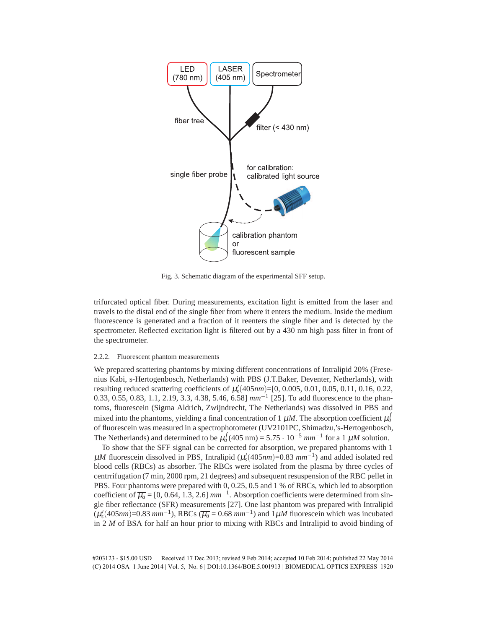

Fig. 3. Schematic diagram of the experimental SFF setup.

trifurcated optical fiber. During measurements, excitation light is emitted from the laser and travels to the distal end of the single fiber from where it enters the medium. Inside the medium fluorescence is generated and a fraction of it reenters the single fiber and is detected by the spectrometer. Reflected excitation light is filtered out by a 430 nm high pass filter in front of the spectrometer.

# 2.2.2. Fluorescent phantom measurements

We prepared scattering phantoms by mixing different concentrations of Intralipid 20% (Fresenius Kabi, s-Hertogenbosch, Netherlands) with PBS (J.T.Baker, Deventer, Netherlands), with resulting reduced scattering coefficients of  $\mu_s'(405nm)$ =[0, 0.005, 0.01, 0.05, 0.11, 0.16, 0.22, 0.33, 0.55, 0.83, 1.1, 2.19, 3.3, 4.38, 5.46, 6.58] *mm*−<sup>1</sup> [25]. To add fluorescence to the phantoms, fluorescein (Sigma Aldrich, Zwijndrecht, The Netherlands) was dissolved in PBS and mixed into the phantoms, yielding a final concentration of 1  $\mu$ *M*. The absorption coefficient  $\mu_a^f$ of fluorescein was measured in a spectrophotometer (UV2101PC, Shimadzu,'s-Hertogenbosch, The Netherlands) and determined to be  $\mu_a^f(405 \text{ nm}) = 5.75 \cdot 10^{-5} \text{ mm}^{-1}$  for a 1  $\mu$ *M* solution.

To show that the SFF signal can be corrected for absorption, we prepared phantoms with 1  $\mu$ *M* fluorescein dissolved in PBS, Intralipid ( $\mu_s'(405nm)$ =0.83  $mm^{-1}$ ) and added isolated red blood cells (RBCs) as absorber. The RBCs were isolated from the plasma by three cycles of centrrifugation (7 min, 2000 rpm, 21 degrees) and subsequent resuspension of the RBC pellet in PBS. Four phantoms were prepared with 0, 0.25, 0.5 and 1 % of RBCs, which led to absorption coefficient of  $\overline{\mu_a}$  = [0, 0.64, 1.3, 2.6]  $mm^{-1}$ . Absorption coefficients were determined from single fiber reflectance (SFR) measurements [27]. One last phantom was prepared with Intralipid  $(\mu_s'(405nm)=0.83$   $mm^{-1})$ , RBCs  $(\overline{\mu_a}=0.68$   $mm^{-1})$  and  $1\mu M$  fluorescein which was incubated in 2 *M* of BSA for half an hour prior to mixing with RBCs and Intralipid to avoid binding of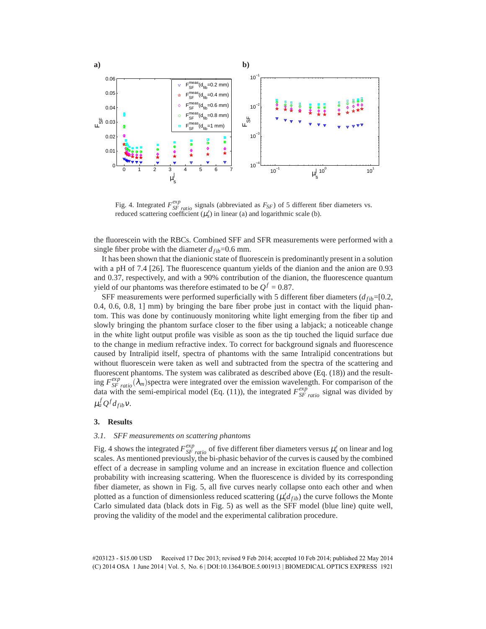

Fig. 4. Integrated  $F_{SF \; ratio}^{exp}$  signals (abbreviated as  $F_{SF}$ ) of 5 different fiber diameters vs. reduced scattering coefficient  $(\mu_s)$  in linear (a) and logarithmic scale (b).

the fluorescein with the RBCs. Combined SFF and SFR measurements were performed with a single fiber probe with the diameter  $d_{fib}=0.6$  mm.

It has been shown that the dianionic state of fluorescein is predominantly present in a solution with a pH of 7.4 [26]. The fluorescence quantum yields of the dianion and the anion are 0.93 and 0.37, respectively, and with a 90% contribution of the dianion, the fluorescence quantum yield of our phantoms was therefore estimated to be  $Q^f = 0.87$ .

SFF measurements were performed superficially with 5 different fiber diameters  $(d_{fib} = [0.2,$ 0.4, 0.6, 0.8, 1] mm) by bringing the bare fiber probe just in contact with the liquid phantom. This was done by continuously monitoring white light emerging from the fiber tip and slowly bringing the phantom surface closer to the fiber using a labjack; a noticeable change in the white light output profile was visible as soon as the tip touched the liquid surface due to the change in medium refractive index. To correct for background signals and fluorescence caused by Intralipid itself, spectra of phantoms with the same Intralipid concentrations but without fluorescein were taken as well and subtracted from the spectra of the scattering and fluorescent phantoms. The system was calibrated as described above (Eq. (18)) and the resulting  $F_{SF \text{ratio}}^{exp}(\lambda_m)$  spectra were integrated over the emission wavelength. For comparison of the data with the semi-empirical model (Eq. (11)), the integrated  $F_{SF \, ratio}^{exp}$  signal was divided by  $\mu_a^f Q^f d_{fib} v.$ 

#### **3. Results**

# *3.1. SFF measurements on scattering phantoms*

Fig. 4 shows the integrated  $F_{SF \text{ ratio}}^{exp}$  of five different fiber diameters versus  $\mu_s'$  on linear and log scales. As mentioned previously, the bi-phasic behavior of the curves is caused by the combined effect of a decrease in sampling volume and an increase in excitation fluence and collection probability with increasing scattering. When the fluorescence is divided by its corresponding fiber diameter, as shown in Fig. 5, all five curves nearly collapse onto each other and when plotted as a function of dimensionless reduced scattering  $(\mu_s' d_{fib})$  the curve follows the Monte Carlo simulated data (black dots in Fig. 5) as well as the SFF model (blue line) quite well, proving the validity of the model and the experimental calibration procedure.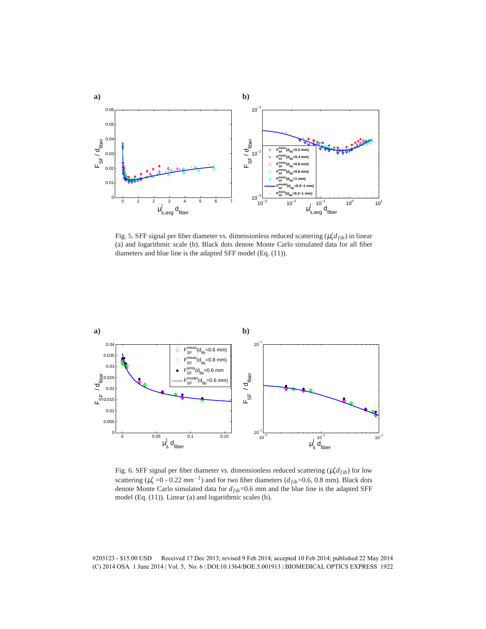

Fig. 5. SFF signal per fiber diameter vs. dimensionless reduced scattering  $(\mu_s' d_{fib})$  in linear (a) and logarithmic scale (b). Black dots denote Monte Carlo simulated data for all fiber diameters and blue line is the adapted SFF model (Eq. (11)).



Fig. 6. SFF signal per fiber diameter vs. dimensionless reduced scattering  $(\mu_s' d_{fib})$  for low scattering ( $\mu_s'$  =0 - 0.22  $mm^{-1}$ ) and for two fiber diameters ( $d_{fib}$ =0.6, 0.8 mm). Black dots denote Monte Carlo simulated data for  $d_{fib}=0.6$  mm and the blue line is the adapted SFF model (Eq. (11)). Linear (a) and logarithmic scales (b).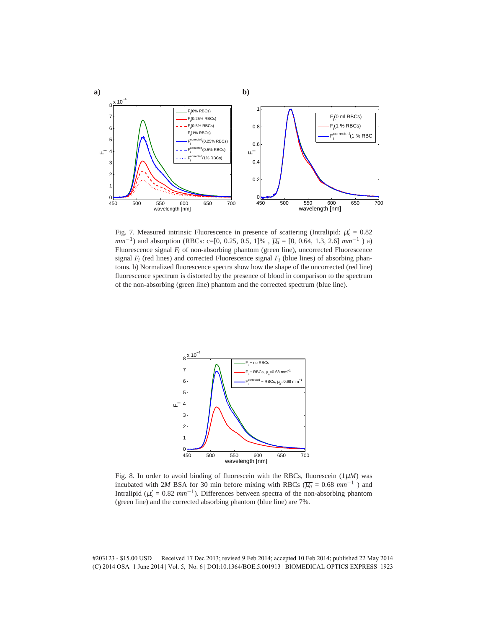

Fig. 7. Measured intrinsic Fluorescence in presence of scattering (Intralipid:  $\mu_s' = 0.82$ *mm*<sup>−1</sup>) and absorption (RBCs: c=[0, 0.25, 0.5, 1]%,  $\overline{\mu_a}$  = [0, 0.64, 1.3, 2.6]  $mm^{-1}$ ) a) Fluorescence signal *F<sup>i</sup>* of non-absorbing phantom (green line), uncorrected Fluorescence signal  $F_i$  (red lines) and corrected Fluorescence signal  $F_i$  (blue lines) of absorbing phantoms. b) Normalized fluorescence spectra show how the shape of the uncorrected (red line) fluorescence spectrum is distorted by the presence of blood in comparison to the spectrum of the non-absorbing (green line) phantom and the corrected spectrum (blue line).



Fig. 8. In order to avoid binding of fluorescein with the RBCs, fluorescein  $(1\mu)$  was incubated with 2*M* BSA for 30 min before mixing with RBCs ( $\overline{\mu_a}$  = 0.68 mm<sup>-1</sup>) and Intralipid ( $\mu_s' = 0.82$   $mm^{-1}$ ). Differences between spectra of the non-absorbing phantom (green line) and the corrected absorbing phantom (blue line) are 7%.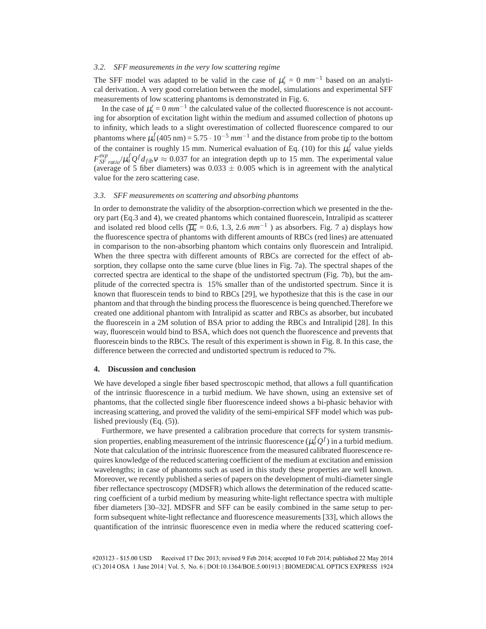# *3.2. SFF measurements in the very low scattering regime*

The SFF model was adapted to be valid in the case of  $\mu_s' = 0$   $mm^{-1}$  based on an analytical derivation. A very good correlation between the model, simulations and experimental SFF measurements of low scattering phantoms is demonstrated in Fig. 6.

In the case of  $\mu_s' = 0$   $mm^{-1}$  the calculated value of the collected fluorescence is not accounting for absorption of excitation light within the medium and assumed collection of photons up to infinity, which leads to a slight overestimation of collected fluorescence compared to our phantoms where  $\mu_a^f(405 \text{ nm}) = 5.75 \cdot 10^{-5} \text{ mm}^{-1}$  and the distance from probe tip to the bottom of the container is roughly 15 mm. Numerical evaluation of Eq. (10) for this  $\mu_a^f$  value yields  $F_{SF \, ratio}^{exp} / \mu_a^f Q^f d_{fib} v \approx 0.037$  for an integration depth up to 15 mm. The experimental value (average of 5 fiber diameters) was  $0.033 \pm 0.005$  which is in agreement with the analytical value for the zero scattering case.

## *3.3. SFF measurements on scattering and absorbing phantoms*

In order to demonstrate the validity of the absorption-correction which we presented in the theory part (Eq.3 and 4), we created phantoms which contained fluorescein, Intralipid as scatterer and isolated red blood cells ( $\overline{\mu_a}$  = 0.6, 1.3, 2.6  $mm^{-1}$ ) as absorbers. Fig. 7 a) displays how the fluorescence spectra of phantoms with different amounts of RBCs (red lines) are attenuated in comparison to the non-absorbing phantom which contains only fluorescein and Intralipid. When the three spectra with different amounts of RBCs are corrected for the effect of absorption, they collapse onto the same curve (blue lines in Fig. 7a). The spectral shapes of the corrected spectra are identical to the shape of the undistorted spectrum (Fig. 7b), but the amplitude of the corrected spectra is 15% smaller than of the undistorted spectrum. Since it is known that fluorescein tends to bind to RBCs [29], we hypothesize that this is the case in our phantom and that through the binding process the fluorescence is being quenched.Therefore we created one additional phantom with Intralipid as scatter and RBCs as absorber, but incubated the fluorescein in a 2M solution of BSA prior to adding the RBCs and Intralipid [28]. In this way, fluorescein would bind to BSA, which does not quench the fluorescence and prevents that fluorescein binds to the RBCs. The result of this experiment is shown in Fig. 8. In this case, the difference between the corrected and undistorted spectrum is reduced to 7%.

# **4. Discussion and conclusion**

We have developed a single fiber based spectroscopic method, that allows a full quantification of the intrinsic fluorescence in a turbid medium. We have shown, using an extensive set of phantoms, that the collected single fiber fluorescence indeed shows a bi-phasic behavior with increasing scattering, and proved the validity of the semi-empirical SFF model which was published previously (Eq. (5)).

Furthermore, we have presented a calibration procedure that corrects for system transmission properties, enabling measurement of the intrinsic fluorescence  $(\mu_a^f Q^f)$  in a turbid medium. Note that calculation of the intrinsic fluorescence from the measured calibrated fluorescence requires knowledge of the reduced scattering coefficient of the medium at excitation and emission wavelengths; in case of phantoms such as used in this study these properties are well known. Moreover, we recently published a series of papers on the development of multi-diameter single fiber reflectance spectroscopy (MDSFR) which allows the determination of the reduced scattering coefficient of a turbid medium by measuring white-light reflectance spectra with multiple fiber diameters [30–32]. MDSFR and SFF can be easily combined in the same setup to perform subsequent white-light reflectance and fluorescence measurements [33], which allows the quantification of the intrinsic fluorescence even in media where the reduced scattering coef-